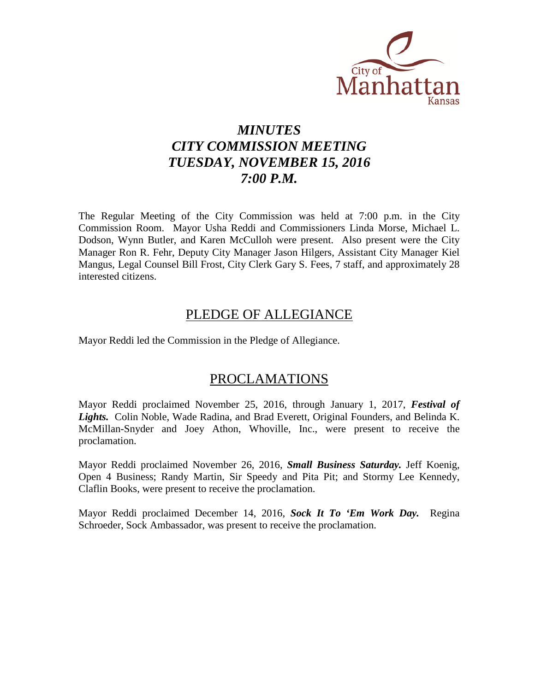

# *MINUTES CITY COMMISSION MEETING TUESDAY, NOVEMBER 15, 2016 7:00 P.M.*

The Regular Meeting of the City Commission was held at 7:00 p.m. in the City Commission Room. Mayor Usha Reddi and Commissioners Linda Morse, Michael L. Dodson, Wynn Butler, and Karen McCulloh were present. Also present were the City Manager Ron R. Fehr, Deputy City Manager Jason Hilgers, Assistant City Manager Kiel Mangus, Legal Counsel Bill Frost, City Clerk Gary S. Fees, 7 staff, and approximately 28 interested citizens.

## PLEDGE OF ALLEGIANCE

Mayor Reddi led the Commission in the Pledge of Allegiance.

## PROCLAMATIONS

Mayor Reddi proclaimed November 25, 2016, through January 1, 2017, *Festival of Lights.* Colin Noble, Wade Radina, and Brad Everett, Original Founders, and Belinda K. McMillan-Snyder and Joey Athon, Whoville, Inc., were present to receive the proclamation.

Mayor Reddi proclaimed November 26, 2016, *Small Business Saturday.* Jeff Koenig, Open 4 Business; Randy Martin, Sir Speedy and Pita Pit; and Stormy Lee Kennedy, Claflin Books, were present to receive the proclamation.

Mayor Reddi proclaimed December 14, 2016, *Sock It To 'Em Work Day.* Regina Schroeder, Sock Ambassador, was present to receive the proclamation.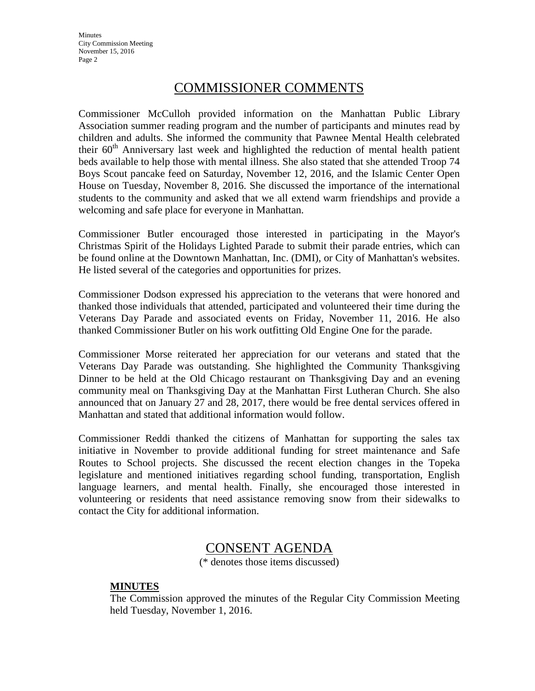**Minutes** City Commission Meeting November 15, 2016 Page 2

## COMMISSIONER COMMENTS

Commissioner McCulloh provided information on the Manhattan Public Library Association summer reading program and the number of participants and minutes read by children and adults. She informed the community that Pawnee Mental Health celebrated their  $60<sup>th</sup>$  Anniversary last week and highlighted the reduction of mental health patient beds available to help those with mental illness. She also stated that she attended Troop 74 Boys Scout pancake feed on Saturday, November 12, 2016, and the Islamic Center Open House on Tuesday, November 8, 2016. She discussed the importance of the international students to the community and asked that we all extend warm friendships and provide a welcoming and safe place for everyone in Manhattan.

Commissioner Butler encouraged those interested in participating in the Mayor's Christmas Spirit of the Holidays Lighted Parade to submit their parade entries, which can be found online at the Downtown Manhattan, Inc. (DMI), or City of Manhattan's websites. He listed several of the categories and opportunities for prizes.

Commissioner Dodson expressed his appreciation to the veterans that were honored and thanked those individuals that attended, participated and volunteered their time during the Veterans Day Parade and associated events on Friday, November 11, 2016. He also thanked Commissioner Butler on his work outfitting Old Engine One for the parade.

Commissioner Morse reiterated her appreciation for our veterans and stated that the Veterans Day Parade was outstanding. She highlighted the Community Thanksgiving Dinner to be held at the Old Chicago restaurant on Thanksgiving Day and an evening community meal on Thanksgiving Day at the Manhattan First Lutheran Church. She also announced that on January 27 and 28, 2017, there would be free dental services offered in Manhattan and stated that additional information would follow.

Commissioner Reddi thanked the citizens of Manhattan for supporting the sales tax initiative in November to provide additional funding for street maintenance and Safe Routes to School projects. She discussed the recent election changes in the Topeka legislature and mentioned initiatives regarding school funding, transportation, English language learners, and mental health. Finally, she encouraged those interested in volunteering or residents that need assistance removing snow from their sidewalks to contact the City for additional information.

## CONSENT AGENDA

(\* denotes those items discussed)

## **MINUTES**

The Commission approved the minutes of the Regular City Commission Meeting held Tuesday, November 1, 2016.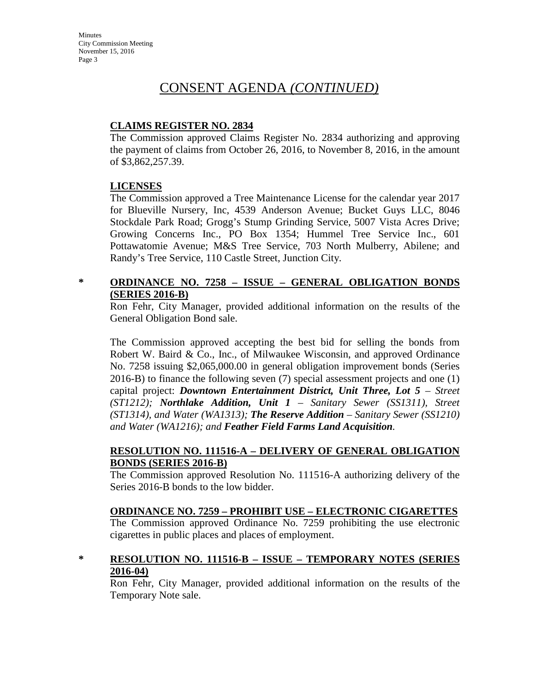## **CLAIMS REGISTER NO. 2834**

The Commission approved Claims Register No. 2834 authorizing and approving the payment of claims from October 26, 2016, to November 8, 2016, in the amount of \$3,862,257.39.

## **LICENSES**

The Commission approved a Tree Maintenance License for the calendar year 2017 for Blueville Nursery, Inc, 4539 Anderson Avenue; Bucket Guys LLC, 8046 Stockdale Park Road; Grogg's Stump Grinding Service, 5007 Vista Acres Drive; Growing Concerns Inc., PO Box 1354; Hummel Tree Service Inc., 601 Pottawatomie Avenue; M&S Tree Service, 703 North Mulberry, Abilene; and Randy's Tree Service, 110 Castle Street, Junction City.

## **\* ORDINANCE NO. 7258 – ISSUE – GENERAL OBLIGATION BONDS (SERIES 2016-B)**

Ron Fehr, City Manager, provided additional information on the results of the General Obligation Bond sale.

The Commission approved accepting the best bid for selling the bonds from Robert W. Baird & Co., Inc., of Milwaukee Wisconsin, and approved Ordinance No. 7258 issuing \$2,065,000.00 in general obligation improvement bonds (Series 2016-B) to finance the following seven (7) special assessment projects and one (1) capital project: *Downtown Entertainment District, Unit Three, Lot 5 – Street (ST1212); Northlake Addition, Unit 1 – Sanitary Sewer (SS1311), Street (ST1314), and Water (WA1313); The Reserve Addition – Sanitary Sewer (SS1210) and Water (WA1216); and Feather Field Farms Land Acquisition.*

## **RESOLUTION NO. 111516-A – DELIVERY OF GENERAL OBLIGATION BONDS (SERIES 2016-B)**

The Commission approved Resolution No. 111516-A authorizing delivery of the Series 2016-B bonds to the low bidder.

## **ORDINANCE NO. 7259 – PROHIBIT USE – ELECTRONIC CIGARETTES**

The Commission approved Ordinance No. 7259 prohibiting the use electronic cigarettes in public places and places of employment.

## **\* RESOLUTION NO. 111516-B – ISSUE – TEMPORARY NOTES (SERIES 2016-04)**

Ron Fehr, City Manager, provided additional information on the results of the Temporary Note sale.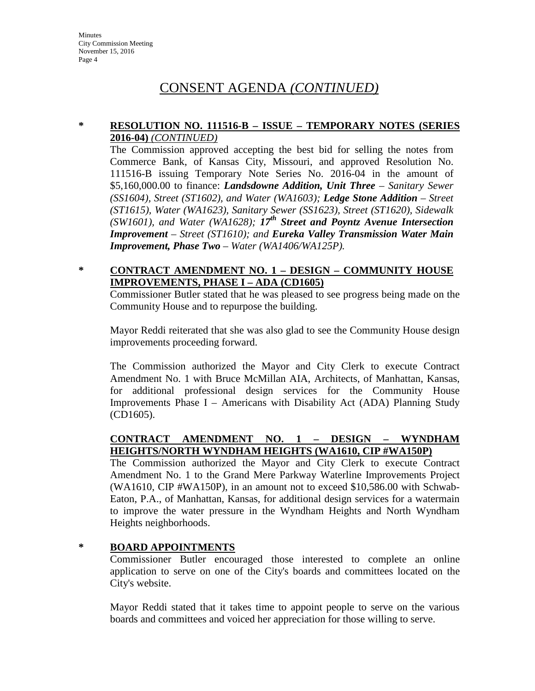### **\* RESOLUTION NO. 111516-B – ISSUE – TEMPORARY NOTES (SERIES 2016-04)** *(CONTINUED)*

The Commission approved accepting the best bid for selling the notes from Commerce Bank, of Kansas City, Missouri, and approved Resolution No. 111516-B issuing Temporary Note Series No. 2016-04 in the amount of \$5,160,000.00 to finance: *Landsdowne Addition, Unit Three – Sanitary Sewer (SS1604), Street (ST1602), and Water (WA1603); Ledge Stone Addition – Street (ST1615), Water (WA1623), Sanitary Sewer (SS1623), Street (ST1620), Sidewalk (SW1601), and Water (WA1628); 17th Street and Poyntz Avenue Intersection Improvement – Street (ST1610); and Eureka Valley Transmission Water Main Improvement, Phase Two – Water (WA1406/WA125P).*

## **\* CONTRACT AMENDMENT NO. 1 – DESIGN – COMMUNITY HOUSE IMPROVEMENTS, PHASE I – ADA (CD1605)**

Commissioner Butler stated that he was pleased to see progress being made on the Community House and to repurpose the building.

Mayor Reddi reiterated that she was also glad to see the Community House design improvements proceeding forward.

The Commission authorized the Mayor and City Clerk to execute Contract Amendment No. 1 with Bruce McMillan AIA, Architects, of Manhattan, Kansas, for additional professional design services for the Community House Improvements Phase I – Americans with Disability Act (ADA) Planning Study (CD1605).

## **CONTRACT AMENDMENT NO. 1 – DESIGN – WYNDHAM HEIGHTS/NORTH WYNDHAM HEIGHTS (WA1610, CIP #WA150P)**

The Commission authorized the Mayor and City Clerk to execute Contract Amendment No. 1 to the Grand Mere Parkway Waterline Improvements Project (WA1610, CIP #WA150P), in an amount not to exceed \$10,586.00 with Schwab-Eaton, P.A., of Manhattan, Kansas, for additional design services for a watermain to improve the water pressure in the Wyndham Heights and North Wyndham Heights neighborhoods.

### **\* BOARD APPOINTMENTS**

Commissioner Butler encouraged those interested to complete an online application to serve on one of the City's boards and committees located on the City's website.

Mayor Reddi stated that it takes time to appoint people to serve on the various boards and committees and voiced her appreciation for those willing to serve.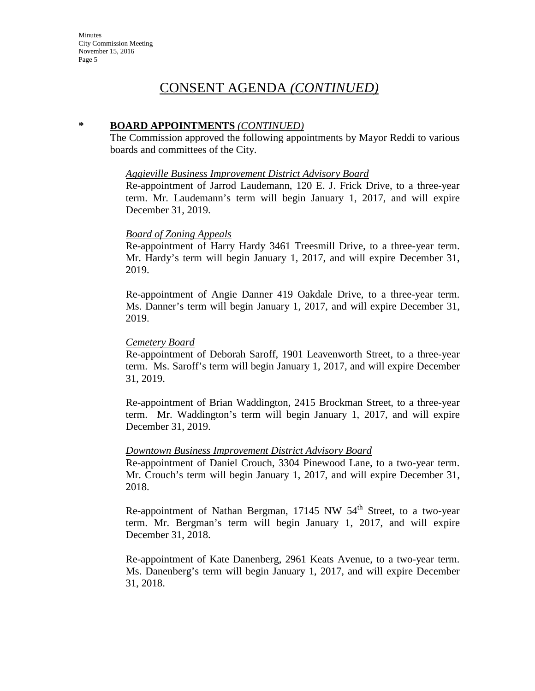### **\* BOARD APPOINTMENTS** *(CONTINUED)*

The Commission approved the following appointments by Mayor Reddi to various boards and committees of the City.

#### *Aggieville Business Improvement District Advisory Board*

Re-appointment of Jarrod Laudemann, 120 E. J. Frick Drive, to a three-year term. Mr. Laudemann's term will begin January 1, 2017, and will expire December 31, 2019.

### *Board of Zoning Appeals*

Re-appointment of Harry Hardy 3461 Treesmill Drive, to a three-year term. Mr. Hardy's term will begin January 1, 2017, and will expire December 31, 2019.

Re-appointment of Angie Danner 419 Oakdale Drive, to a three-year term. Ms. Danner's term will begin January 1, 2017, and will expire December 31, 2019.

### *Cemetery Board*

Re-appointment of Deborah Saroff, 1901 Leavenworth Street, to a three-year term. Ms. Saroff's term will begin January 1, 2017, and will expire December 31, 2019.

Re-appointment of Brian Waddington, 2415 Brockman Street, to a three-year term. Mr. Waddington's term will begin January 1, 2017, and will expire December 31, 2019.

### *Downtown Business Improvement District Advisory Board*

Re-appointment of Daniel Crouch, 3304 Pinewood Lane, to a two-year term. Mr. Crouch's term will begin January 1, 2017, and will expire December 31, 2018.

Re-appointment of Nathan Bergman,  $17145$  NW  $54<sup>th</sup>$  Street, to a two-year term. Mr. Bergman's term will begin January 1, 2017, and will expire December 31, 2018.

Re-appointment of Kate Danenberg, 2961 Keats Avenue, to a two-year term. Ms. Danenberg's term will begin January 1, 2017, and will expire December 31, 2018.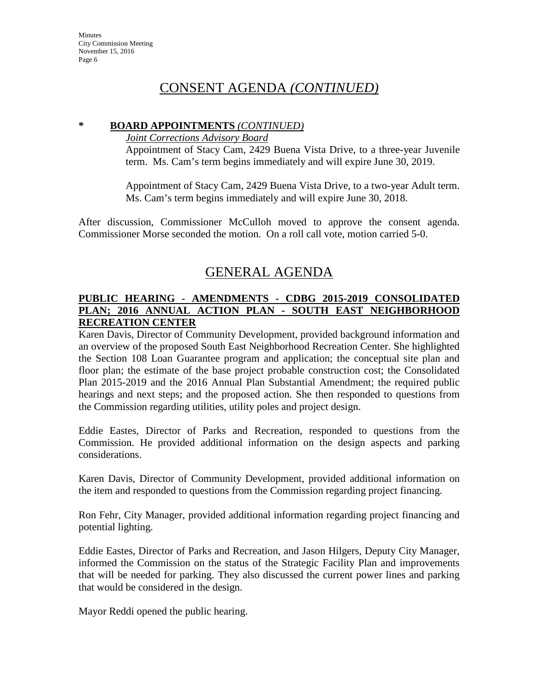### **\* BOARD APPOINTMENTS** *(CONTINUED)*

### *Joint Corrections Advisory Board*

Appointment of Stacy Cam, 2429 Buena Vista Drive, to a three-year Juvenile term. Ms. Cam's term begins immediately and will expire June 30, 2019.

Appointment of Stacy Cam, 2429 Buena Vista Drive, to a two-year Adult term. Ms. Cam's term begins immediately and will expire June 30, 2018.

After discussion, Commissioner McCulloh moved to approve the consent agenda. Commissioner Morse seconded the motion. On a roll call vote, motion carried 5-0.

# GENERAL AGENDA

## **PUBLIC HEARING - AMENDMENTS - CDBG 2015-2019 CONSOLIDATED PLAN; 2016 ANNUAL ACTION PLAN - SOUTH EAST NEIGHBORHOOD RECREATION CENTER**

Karen Davis, Director of Community Development, provided background information and an overview of the proposed South East Neighborhood Recreation Center. She highlighted the Section 108 Loan Guarantee program and application; the conceptual site plan and floor plan; the estimate of the base project probable construction cost; the Consolidated Plan 2015-2019 and the 2016 Annual Plan Substantial Amendment; the required public hearings and next steps; and the proposed action. She then responded to questions from the Commission regarding utilities, utility poles and project design.

Eddie Eastes, Director of Parks and Recreation, responded to questions from the Commission. He provided additional information on the design aspects and parking considerations.

Karen Davis, Director of Community Development, provided additional information on the item and responded to questions from the Commission regarding project financing.

Ron Fehr, City Manager, provided additional information regarding project financing and potential lighting.

Eddie Eastes, Director of Parks and Recreation, and Jason Hilgers, Deputy City Manager, informed the Commission on the status of the Strategic Facility Plan and improvements that will be needed for parking. They also discussed the current power lines and parking that would be considered in the design.

Mayor Reddi opened the public hearing.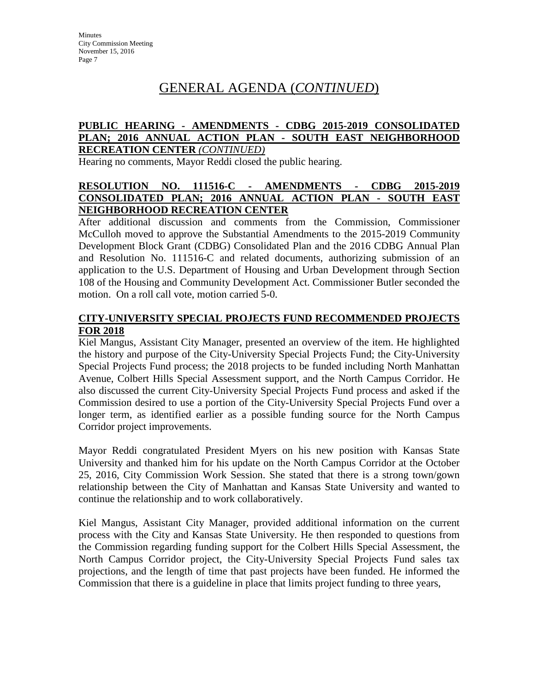# GENERAL AGENDA (*CONTINUED*)

### **PUBLIC HEARING - AMENDMENTS - CDBG 2015-2019 CONSOLIDATED PLAN; 2016 ANNUAL ACTION PLAN - SOUTH EAST NEIGHBORHOOD RECREATION CENTER** *(CONTINUED)*

Hearing no comments, Mayor Reddi closed the public hearing.

## **RESOLUTION NO. 111516-C - AMENDMENTS - CDBG 2015-2019 CONSOLIDATED PLAN; 2016 ANNUAL ACTION PLAN - SOUTH EAST NEIGHBORHOOD RECREATION CENTER**

After additional discussion and comments from the Commission, Commissioner McCulloh moved to approve the Substantial Amendments to the 2015-2019 Community Development Block Grant (CDBG) Consolidated Plan and the 2016 CDBG Annual Plan and Resolution No. 111516-C and related documents, authorizing submission of an application to the U.S. Department of Housing and Urban Development through Section 108 of the Housing and Community Development Act. Commissioner Butler seconded the motion. On a roll call vote, motion carried 5-0.

### **CITY-UNIVERSITY SPECIAL PROJECTS FUND RECOMMENDED PROJECTS FOR 2018**

Kiel Mangus, Assistant City Manager, presented an overview of the item. He highlighted the history and purpose of the City-University Special Projects Fund; the City-University Special Projects Fund process; the 2018 projects to be funded including North Manhattan Avenue, Colbert Hills Special Assessment support, and the North Campus Corridor. He also discussed the current City-University Special Projects Fund process and asked if the Commission desired to use a portion of the City-University Special Projects Fund over a longer term, as identified earlier as a possible funding source for the North Campus Corridor project improvements.

Mayor Reddi congratulated President Myers on his new position with Kansas State University and thanked him for his update on the North Campus Corridor at the October 25, 2016, City Commission Work Session. She stated that there is a strong town/gown relationship between the City of Manhattan and Kansas State University and wanted to continue the relationship and to work collaboratively.

Kiel Mangus, Assistant City Manager, provided additional information on the current process with the City and Kansas State University. He then responded to questions from the Commission regarding funding support for the Colbert Hills Special Assessment, the North Campus Corridor project, the City-University Special Projects Fund sales tax projections, and the length of time that past projects have been funded. He informed the Commission that there is a guideline in place that limits project funding to three years,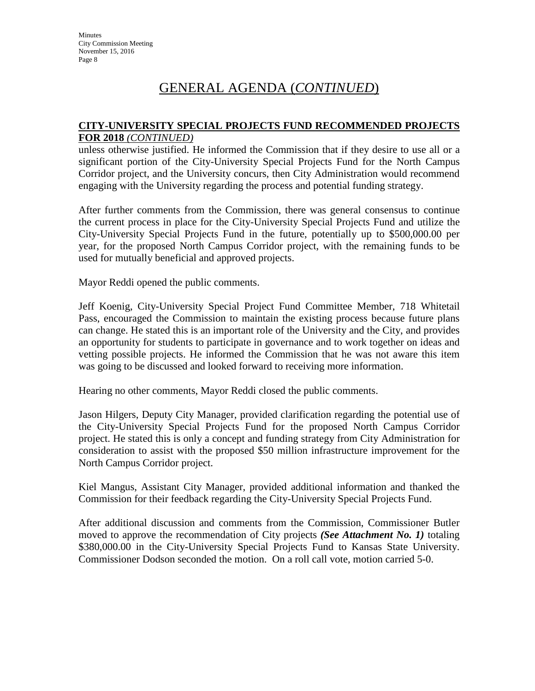# GENERAL AGENDA (*CONTINUED*)

### **CITY-UNIVERSITY SPECIAL PROJECTS FUND RECOMMENDED PROJECTS FOR 2018** *(CONTINUED)*

unless otherwise justified. He informed the Commission that if they desire to use all or a significant portion of the City-University Special Projects Fund for the North Campus Corridor project, and the University concurs, then City Administration would recommend engaging with the University regarding the process and potential funding strategy.

After further comments from the Commission, there was general consensus to continue the current process in place for the City-University Special Projects Fund and utilize the City-University Special Projects Fund in the future, potentially up to \$500,000.00 per year, for the proposed North Campus Corridor project, with the remaining funds to be used for mutually beneficial and approved projects.

Mayor Reddi opened the public comments.

Jeff Koenig, City-University Special Project Fund Committee Member, 718 Whitetail Pass, encouraged the Commission to maintain the existing process because future plans can change. He stated this is an important role of the University and the City, and provides an opportunity for students to participate in governance and to work together on ideas and vetting possible projects. He informed the Commission that he was not aware this item was going to be discussed and looked forward to receiving more information.

Hearing no other comments, Mayor Reddi closed the public comments.

Jason Hilgers, Deputy City Manager, provided clarification regarding the potential use of the City-University Special Projects Fund for the proposed North Campus Corridor project. He stated this is only a concept and funding strategy from City Administration for consideration to assist with the proposed \$50 million infrastructure improvement for the North Campus Corridor project.

Kiel Mangus, Assistant City Manager, provided additional information and thanked the Commission for their feedback regarding the City-University Special Projects Fund.

After additional discussion and comments from the Commission, Commissioner Butler moved to approve the recommendation of City projects *(See Attachment No. 1)* totaling \$380,000.00 in the City-University Special Projects Fund to Kansas State University. Commissioner Dodson seconded the motion. On a roll call vote, motion carried 5-0.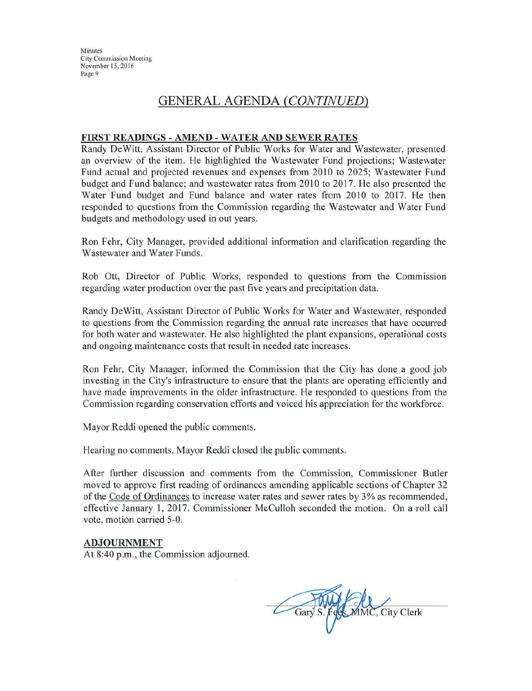Minutes **City Commission Meeting** November 15, 2016 Page 9

## **GENERAL AGENDA (CONTINUED)**

#### FIRST READINGS - AMEND - WATER AND SEWER RATES

Randy DeWitt, Assistant Director of Public Works for Water and Wastewater, presented an overview of the item. He highlighted the Wastewater Fund projections; Wastewater Fund actual and projected revenues and expenses from 2010 to 2025; Wastewater Fund budget and Fund balance; and wastewater rates from 2010 to 2017. He also presented the Water Fund budget and Fund balance and water rates from 2010 to 2017. He then responded to questions from the Commission regarding the Wastewater and Water Fund budgets and methodology used in out years.

Ron Fehr, City Manager, provided additional information and clarification regarding the Wastewater and Water Funds.

Rob Ott, Director of Public Works, responded to questions from the Commission regarding water production over the past five years and precipitation data.

Randy DeWitt, Assistant Director of Public Works for Water and Wastewater, responded to questions from the Commission regarding the annual rate increases that have occurred for both water and wastewater. He also highlighted the plant expansions, operational costs and ongoing maintenance costs that result in needed rate increases.

Ron Fehr, City Manager, informed the Commission that the City has done a good job investing in the City's infrastructure to ensure that the plants are operating efficiently and have made improvements in the older infrastructure. He responded to questions from the Commission regarding conservation efforts and voiced his appreciation for the workforce.

Mayor Reddi opened the public comments.

Hearing no comments, Mayor Reddi closed the public comments.

After further discussion and comments from the Commission, Commissioner Butler moved to approve first reading of ordinances amending applicable sections of Chapter 32 of the Code of Ordinances to increase water rates and sewer rates by 3% as recommended, effective January 1, 2017. Commissioner McCulloh seconded the motion. On a roll call vote, motion carried 5-0.

#### **ADJOURNMENT**

At 8:40 p.m., the Commission adjourned.

Gary S. Fees. MMC, City Clerk